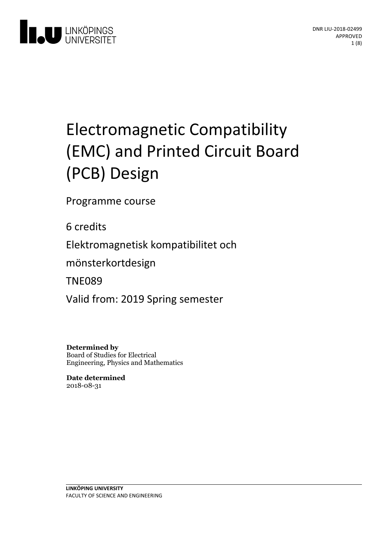

# Electromagnetic Compatibility (EMC) and Printed Circuit Board (PCB) Design

Programme course

6 credits

Elektromagnetisk kompatibilitet och

mönsterkortdesign

TNE089

Valid from: 2019 Spring semester

**Determined by** Board of Studies for Electrical Engineering, Physics and Mathematics

**Date determined** 2018-08-31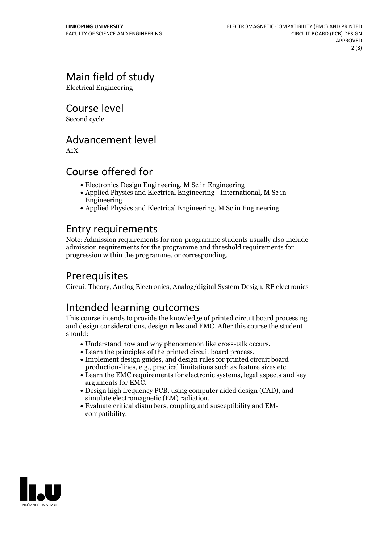# Main field of study

Electrical Engineering

Course level

Second cycle

## Advancement level

A1X

# Course offered for

- Electronics Design Engineering, M Sc in Engineering
- Applied Physics and Electrical Engineering International, M Sc in Engineering
- Applied Physics and Electrical Engineering, M Sc in Engineering

## Entry requirements

Note: Admission requirements for non-programme students usually also include admission requirements for the programme and threshold requirements for progression within the programme, or corresponding.

# Prerequisites

Circuit Theory, Analog Electronics, Analog/digital System Design, RF electronics

# Intended learning outcomes

This course intends to provide the knowledge of printed circuit board processing and design considerations, design rules and EMC. After this course the student should:

- 
- 
- Understand how and why phenomenon like cross-talk occurs. Learn the principles of the printed circuit board process. Implement design guides, and design rules for printed circuit board production-lines, e.g., practical limitations such as feature sizes etc.<br>• Learn the EMC requirements for electronic systems, legal aspects and key
- arguments for EMC.<br>• Design high frequency PCB, using computer aided design (CAD), and
- 
- simulate electromagnetic (EM) radiation.<br>• Evaluate critical disturbers, coupling and susceptibility and EM-<br>compatibility.

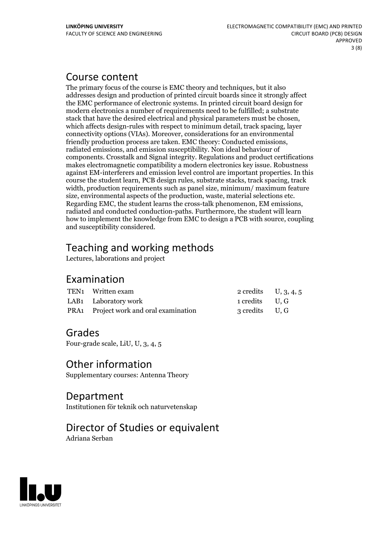## Course content

The primary focus of the course is EMC theory and techniques, but it also addresses design and production of printed circuit boards since it strongly affect the EMC performance of electronic systems. In printed circuit board design for modern electronics a number of requirements need to be fulfilled; a substrate stack that have the desired electrical and physical parameters must be chosen, which affects design-rules with respect to minimum detail, track spacing, layer connectivity options (VIAs). Moreover, considerations for an environmental friendly production process are taken. EMC theory: Conducted emissions, radiated emissions, and emission susceptibility. Non ideal behaviour of components. Crosstalk and Signal integrity. Regulations and product certifications makes electromagnetic compatibility a modern electronics key issue. Robustness against EM-interferers and emission level control are important properties. In this course the student learn, PCB design rules, substrate stacks, track spacing, track width, production requirements such as panel size, minimum/ maximum feature size, environmental aspects of the production, waste, material selections etc. Regarding EMC, the student learns the cross-talk phenomenon, EM emissions, radiated and conducted conduction-paths. Furthermore, the student will learn how to implement the knowledge from EMC to design a PCB with source, coupling and susceptibility considered.

# Teaching and working methods

Lectures, laborations and project

### Examination

| TEN1 Written exam                      | 2 credits $U, 3, 4, 5$ |  |
|----------------------------------------|------------------------|--|
| LAB1 Laboratory work                   | 1 credits U.G          |  |
| PRA1 Project work and oral examination | 3 credits U, G         |  |

### Grades

Four-grade scale, LiU, U, 3, 4, 5

### Other information

Supplementary courses: Antenna Theory

Department Institutionen för teknik och naturvetenskap

# Director of Studies or equivalent

Adriana Serban

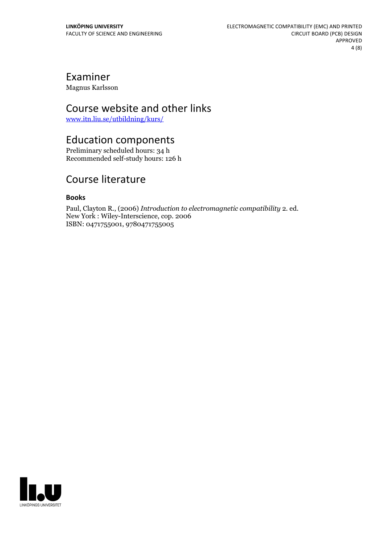### Examiner

Magnus Karlsson

### Course website and other links

[www.itn.liu.se/utbildning/kurs/](https://studieinfo.liu.se/www.itn.liu.se/utbildning/kurs/)

## Education components

Preliminary scheduled hours: 34 h Recommended self-study hours: 126 h

# Course literature

#### **Books**

Paul, Clayton R., (2006) *Introduction to electromagnetic compatibility* 2. ed. New York : Wiley-Interscience, cop. <sup>2006</sup> ISBN: 0471755001, 9780471755005

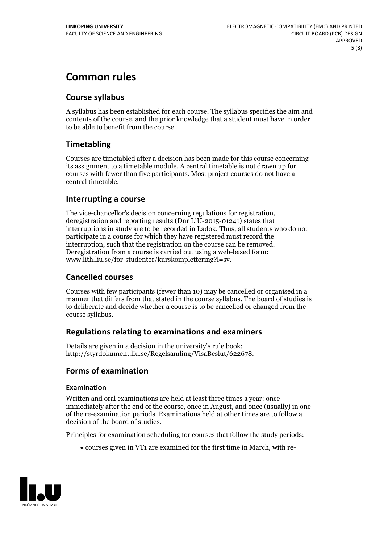# **Common rules**

### **Course syllabus**

A syllabus has been established for each course. The syllabus specifies the aim and contents of the course, and the prior knowledge that a student must have in order to be able to benefit from the course.

### **Timetabling**

Courses are timetabled after a decision has been made for this course concerning its assignment to a timetable module. A central timetable is not drawn up for courses with fewer than five participants. Most project courses do not have a central timetable.

### **Interrupting a course**

The vice-chancellor's decision concerning regulations for registration, deregistration and reporting results (Dnr LiU-2015-01241) states that interruptions in study are to be recorded in Ladok. Thus, all students who do not participate in a course for which they have registered must record the interruption, such that the registration on the course can be removed. Deregistration from <sup>a</sup> course is carried outusing <sup>a</sup> web-based form: www.lith.liu.se/for-studenter/kurskomplettering?l=sv.

### **Cancelled courses**

Courses with few participants (fewer than 10) may be cancelled or organised in a manner that differs from that stated in the course syllabus. The board of studies is to deliberate and decide whether a course is to be cancelled orchanged from the course syllabus.

### **Regulations relatingto examinations and examiners**

Details are given in a decision in the university's rule book: http://styrdokument.liu.se/Regelsamling/VisaBeslut/622678.

### **Forms of examination**

#### **Examination**

Written and oral examinations are held at least three times a year: once immediately after the end of the course, once in August, and once (usually) in one of the re-examination periods. Examinations held at other times are to follow a decision of the board of studies.

Principles for examination scheduling for courses that follow the study periods:

courses given in VT1 are examined for the first time in March, with re-

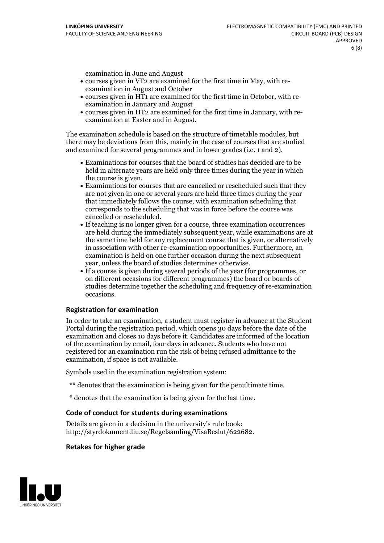examination in June and August

- courses given in VT2 are examined for the first time in May, with re-examination in August and October
- courses given in HT1 are examined for the first time in October, with re-examination in January and August
- courses given in HT2 are examined for the first time in January, with re-examination at Easter and in August.

The examination schedule is based on the structure of timetable modules, but there may be deviations from this, mainly in the case of courses that are studied and examined for several programmes and in lower grades (i.e. 1 and 2).

- Examinations for courses that the board of studies has decided are to be held in alternate years are held only three times during the year in which
- the course is given.<br>• Examinations for courses that are cancelled or rescheduled such that they are not given in one or several years are held three times during the year that immediately follows the course, with examination scheduling that corresponds to the scheduling that was in force before the course was cancelled or rescheduled.<br>• If teaching is no longer given for a course, three examination occurrences
- are held during the immediately subsequent year, while examinations are at the same time held for any replacement course that is given, or alternatively in association with other re-examination opportunities. Furthermore, an examination is held on one further occasion during the next subsequent year, unless the board of studies determines otherwise.<br>• If a course is given during several periods of the year (for programmes, or
- on different occasions for different programmes) the board orboards of studies determine together the scheduling and frequency of re-examination occasions.

#### **Registration for examination**

In order to take an examination, a student must register in advance at the Student Portal during the registration period, which opens 30 days before the date of the examination and closes 10 days before it. Candidates are informed of the location of the examination by email, four days in advance. Students who have not registered for an examination run the risk of being refused admittance to the examination, if space is not available.

Symbols used in the examination registration system:

- \*\* denotes that the examination is being given for the penultimate time.
- \* denotes that the examination is being given for the last time.

#### **Code of conduct for students during examinations**

Details are given in a decision in the university's rule book: http://styrdokument.liu.se/Regelsamling/VisaBeslut/622682.

#### **Retakes for higher grade**

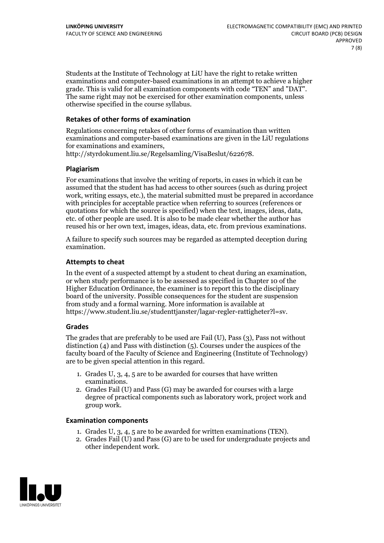Students at the Institute of Technology at LiU have the right to retake written examinations and computer-based examinations in an attempt to achieve a higher grade. This is valid for all examination components with code "TEN" and "DAT". The same right may not be exercised for other examination components, unless otherwise specified in the course syllabus.

#### **Retakes of other forms of examination**

Regulations concerning retakes of other forms of examination than written examinations and computer-based examinations are given in the LiU regulations for examinations and examiners, http://styrdokument.liu.se/Regelsamling/VisaBeslut/622678.

#### **Plagiarism**

For examinations that involve the writing of reports, in cases in which it can be assumed that the student has had access to other sources (such as during project work, writing essays, etc.), the material submitted must be prepared in accordance with principles for acceptable practice when referring to sources (references or quotations for which the source is specified) when the text, images, ideas, data, etc. of other people are used. It is also to be made clear whether the author has reused his or her own text, images, ideas, data, etc. from previous examinations.

A failure to specify such sources may be regarded as attempted deception during examination.

#### **Attempts to cheat**

In the event of <sup>a</sup> suspected attempt by <sup>a</sup> student to cheat during an examination, or when study performance is to be assessed as specified in Chapter <sup>10</sup> of the Higher Education Ordinance, the examiner is to report this to the disciplinary board of the university. Possible consequences for the student are suspension from study and a formal warning. More information is available at https://www.student.liu.se/studenttjanster/lagar-regler-rattigheter?l=sv.

#### **Grades**

The grades that are preferably to be used are Fail (U), Pass (3), Pass not without distinction  $(4)$  and Pass with distinction  $(5)$ . Courses under the auspices of the faculty board of the Faculty of Science and Engineering (Institute of Technology) are to be given special attention in this regard.

- 1. Grades U, 3, 4, 5 are to be awarded for courses that have written
- examinations. 2. Grades Fail (U) and Pass (G) may be awarded for courses with <sup>a</sup> large degree of practical components such as laboratory work, project work and group work.

#### **Examination components**

- 
- 1. Grades U, 3, 4, <sup>5</sup> are to be awarded for written examinations (TEN). 2. Grades Fail (U) and Pass (G) are to be used for undergraduate projects and other independent work.